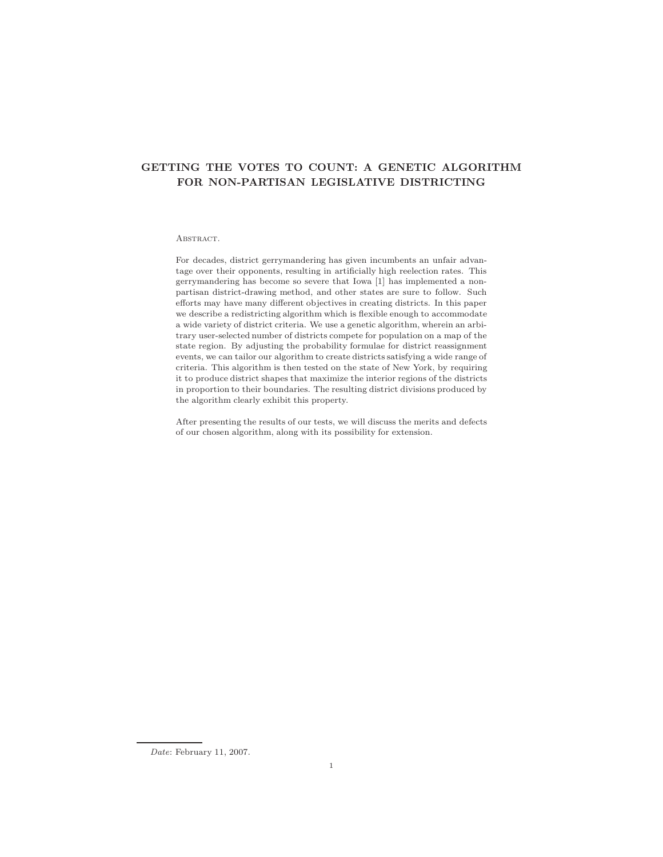# **GETTING THE VOTES TO COUNT: A GENETIC ALGORITHM FOR NON-PARTISAN LEGISLATIVE DISTRICTING**

### ABSTRACT.

For decades, district gerrymandering has given incumbents an unfair advantage over their opponents, resulting in artificially high reelection rates. This gerrymandering has become so severe that Iowa [1] has implemented a nonpartisan district-drawing method, and other states are sure to follow. Such efforts may have many different objectives in creating districts. In this paper we describe a redistricting algorithm which is flexible enough to accommodate a wide variety of district criteria. We use a genetic algorithm, wherein an arbitrary user-selected number of districts compete for population on a map of the state region. By adjusting the probability formulae for district reassignment events, we can tailor our algorithm to create districts satisfying a wide range of criteria. This algorithm is then tested on the state of New York, by requiring it to produce district shapes that maximize the interior regions of the districts in proportion to their boundaries. The resulting district divisions produced by the algorithm clearly exhibit this property.

After presenting the results of our tests, we will discuss the merits and defects of our chosen algorithm, along with its possibility for extension.

Date: February 11, 2007.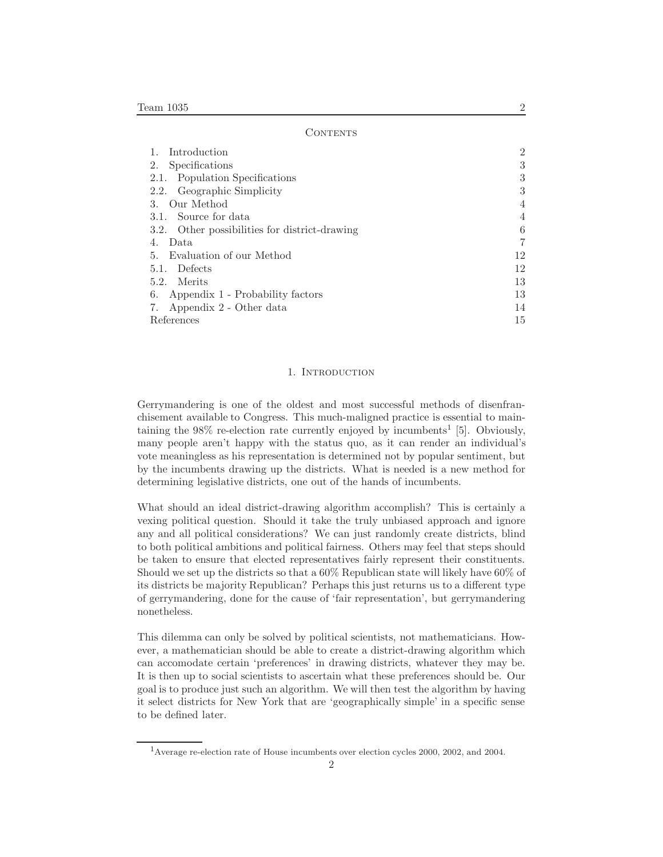| Introduction                                  | $\overline{2}$ |
|-----------------------------------------------|----------------|
| Specifications<br>2.                          | 3              |
| Population Specifications<br>2.1.             | 3              |
| Geographic Simplicity<br>2.2.                 | 3              |
| Our Method<br>3.                              | $\overline{4}$ |
| Source for data<br>3.1.                       | $\overline{4}$ |
| 3.2. Other possibilities for district-drawing | 6              |
| Data<br>4.                                    | 7              |
| 5. Evaluation of our Method                   | 12             |
| <b>Defects</b><br>5.1.                        | 12             |
| Merits<br>5.2.                                | 13             |
| Appendix 1 - Probability factors<br>6.        | 13             |
| Appendix 2 - Other data<br>7.                 | 14             |
| References                                    | 15             |

### 1. INTRODUCTION

Gerrymandering is one of the oldest and most successful methods of disenfranchisement available to Congress. This much-maligned practice is essential to maintaining the  $98\%$  re-election rate currently enjoyed by incumbents<sup>1</sup> [5]. Obviously, many people aren't happy with the status quo, as it can render an individual's vote meaningless as his representation is determined not by popular sentiment, but by the incumbents drawing up the districts. What is needed is a new method for determining legislative districts, one out of the hands of incumbents.

What should an ideal district-drawing algorithm accomplish? This is certainly a vexing political question. Should it take the truly unbiased approach and ignore any and all political considerations? We can just randomly create districts, blind to both political ambitions and political fairness. Others may feel that steps should be taken to ensure that elected representatives fairly represent their constituents. Should we set up the districts so that a 60% Republican state will likely have 60% of its districts be majority Republican? Perhaps this just returns us to a different type of gerrymandering, done for the cause of 'fair representation', but gerrymandering nonetheless.

This dilemma can only be solved by political scientists, not mathematicians. However, a mathematician should be able to create a district-drawing algorithm which can accomodate certain 'preferences' in drawing districts, whatever they may be. It is then up to social scientists to ascertain what these preferences should be. Our goal is to produce just such an algorithm. We will then test the algorithm by having it select districts for New York that are 'geographically simple' in a specific sense to be defined later.

<sup>1</sup>Average re-election rate of House incumbents over election cycles 2000, 2002, and 2004.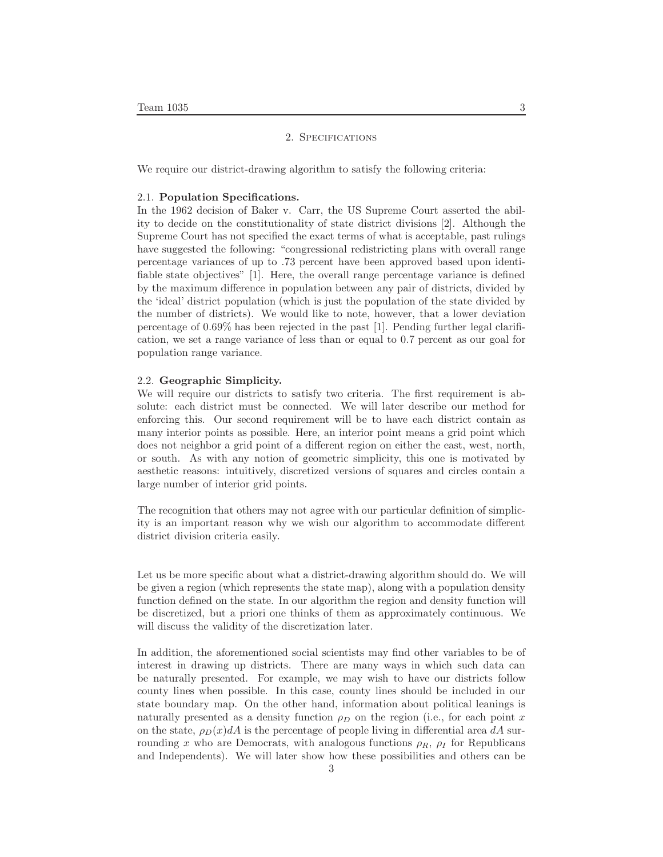# 2. Specifications

We require our district-drawing algorithm to satisfy the following criteria:

### 2.1. **Population Specifications.**

In the 1962 decision of Baker v. Carr, the US Supreme Court asserted the ability to decide on the constitutionality of state district divisions [2]. Although the Supreme Court has not specified the exact terms of what is acceptable, past rulings have suggested the following: "congressional redistricting plans with overall range percentage variances of up to .73 percent have been approved based upon identifiable state objectives" [1]. Here, the overall range percentage variance is defined by the maximum difference in population between any pair of districts, divided by the 'ideal' district population (which is just the population of the state divided by the number of districts). We would like to note, however, that a lower deviation percentage of 0.69% has been rejected in the past [1]. Pending further legal clarification, we set a range variance of less than or equal to 0.7 percent as our goal for population range variance.

### 2.2. **Geographic Simplicity.**

We will require our districts to satisfy two criteria. The first requirement is absolute: each district must be connected. We will later describe our method for enforcing this. Our second requirement will be to have each district contain as many interior points as possible. Here, an interior point means a grid point which does not neighbor a grid point of a different region on either the east, west, north, or south. As with any notion of geometric simplicity, this one is motivated by aesthetic reasons: intuitively, discretized versions of squares and circles contain a large number of interior grid points.

The recognition that others may not agree with our particular definition of simplicity is an important reason why we wish our algorithm to accommodate different district division criteria easily.

Let us be more specific about what a district-drawing algorithm should do. We will be given a region (which represents the state map), along with a population density function defined on the state. In our algorithm the region and density function will be discretized, but a priori one thinks of them as approximately continuous. We will discuss the validity of the discretization later.

In addition, the aforementioned social scientists may find other variables to be of interest in drawing up districts. There are many ways in which such data can be naturally presented. For example, we may wish to have our districts follow county lines when possible. In this case, county lines should be included in our state boundary map. On the other hand, information about political leanings is naturally presented as a density function  $\rho_D$  on the region (i.e., for each point x on the state,  $\rho_D(x) dA$  is the percentage of people living in differential area  $dA$  surrounding *x* who are Democrats, with analogous functions  $\rho_R$ ,  $\rho_I$  for Republicans and Independents). We will later show how these possibilities and others can be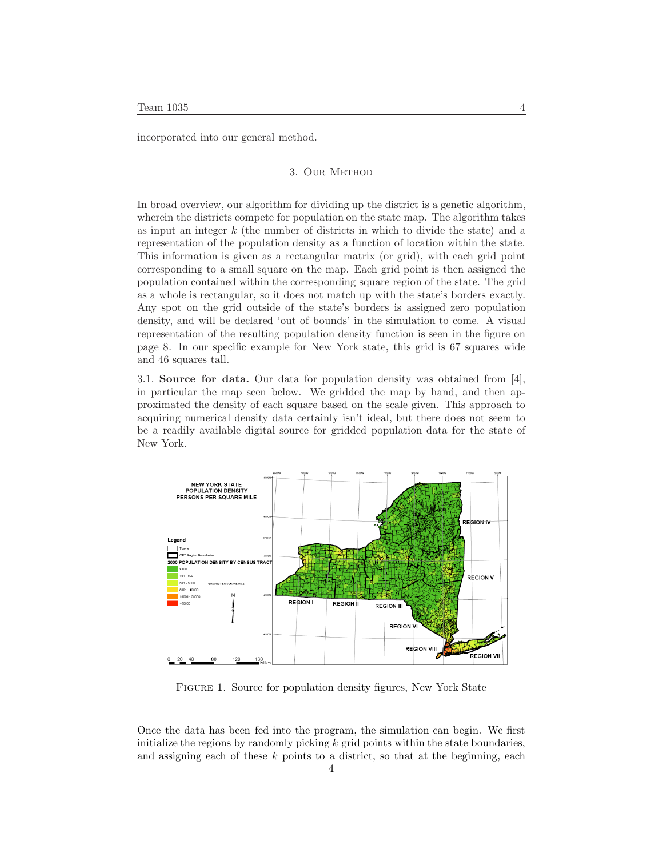incorporated into our general method.

# 3. Our Method

In broad overview, our algorithm for dividing up the district is a genetic algorithm, wherein the districts compete for population on the state map. The algorithm takes as input an integer *k* (the number of districts in which to divide the state) and a representation of the population density as a function of location within the state. This information is given as a rectangular matrix (or grid), with each grid point corresponding to a small square on the map. Each grid point is then assigned the population contained within the corresponding square region of the state. The grid as a whole is rectangular, so it does not match up with the state's borders exactly. Any spot on the grid outside of the state's borders is assigned zero population density, and will be declared 'out of bounds' in the simulation to come. A visual representation of the resulting population density function is seen in the figure on page 8. In our specific example for New York state, this grid is 67 squares wide and 46 squares tall.

3.1. **Source for data.** Our data for population density was obtained from [4], in particular the map seen below. We gridded the map by hand, and then approximated the density of each square based on the scale given. This approach to acquiring numerical density data certainly isn't ideal, but there does not seem to be a readily available digital source for gridded population data for the state of New York.



FIGURE 1. Source for population density figures, New York State

Once the data has been fed into the program, the simulation can begin. We first initialize the regions by randomly picking *k* grid points within the state boundaries, and assigning each of these *k* points to a district, so that at the beginning, each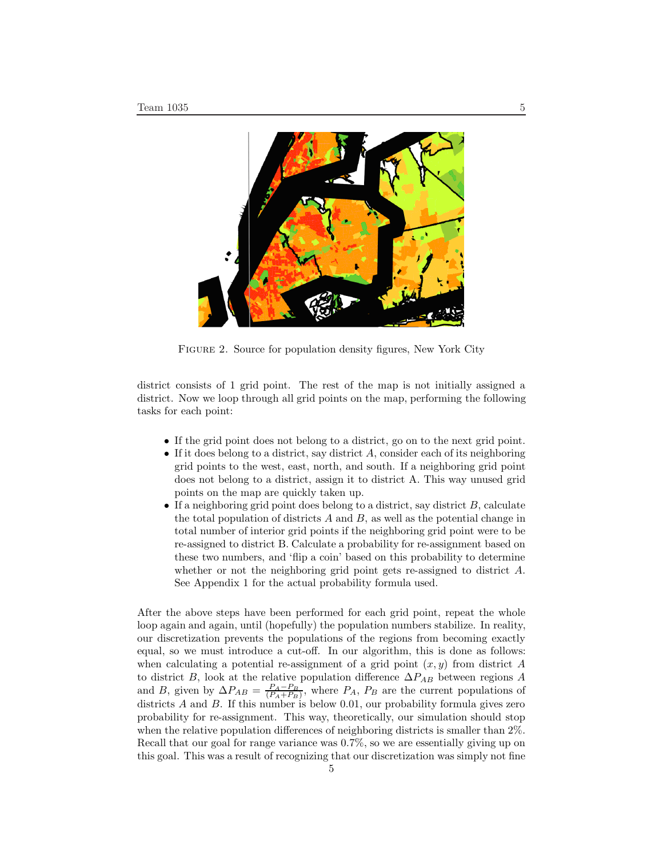

FIGURE 2. Source for population density figures, New York City

district consists of 1 grid point. The rest of the map is not initially assigned a district. Now we loop through all grid points on the map, performing the following tasks for each point:

- If the grid point does not belong to a district, go on to the next grid point.
- If it does belong to a district, say district *A*, consider each of its neighboring grid points to the west, east, north, and south. If a neighboring grid point does not belong to a district, assign it to district A. This way unused grid points on the map are quickly taken up.
- If a neighboring grid point does belong to a district, say district *B*, calculate the total population of districts *A* and *B*, as well as the potential change in total number of interior grid points if the neighboring grid point were to be re-assigned to district B. Calculate a probability for re-assignment based on these two numbers, and 'flip a coin' based on this probability to determine whether or not the neighboring grid point gets re-assigned to district *A*. See Appendix 1 for the actual probability formula used.

After the above steps have been performed for each grid point, repeat the whole loop again and again, until (hopefully) the population numbers stabilize. In reality, our discretization prevents the populations of the regions from becoming exactly equal, so we must introduce a cut-off. In our algorithm, this is done as follows: when calculating a potential re-assignment of a grid point (*x, y*) from district *A* to district *B*, look at the relative population difference ∆*PAB* between regions *A* and *B*, given by  $\Delta P_{AB} = \frac{P_A - P_B}{(P_A + P_B)}$ , where  $P_A$ ,  $P_B$  are the current populations of districts *A* and *B*. If this number is below 0*.*01, our probability formula gives zero probability for re-assignment. This way, theoretically, our simulation should stop when the relative population differences of neighboring districts is smaller than 2%. Recall that our goal for range variance was 0*.*7%, so we are essentially giving up on this goal. This was a result of recognizing that our discretization was simply not fine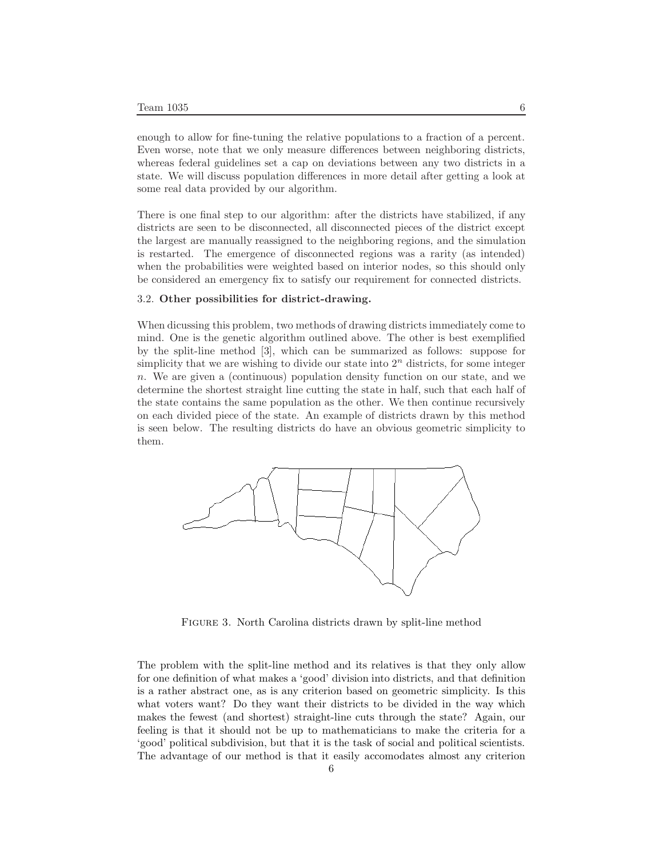enough to allow for fine-tuning the relative populations to a fraction of a percent. Even worse, note that we only measure differences between neighboring districts, whereas federal guidelines set a cap on deviations between any two districts in a state. We will discuss population differences in more detail after getting a look at some real data provided by our algorithm.

There is one final step to our algorithm: after the districts have stabilized, if any districts are seen to be disconnected, all disconnected pieces of the district except the largest are manually reassigned to the neighboring regions, and the simulation is restarted. The emergence of disconnected regions was a rarity (as intended) when the probabilities were weighted based on interior nodes, so this should only be considered an emergency fix to satisfy our requirement for connected districts.

# 3.2. **Other possibilities for district-drawing.**

When dicussing this problem, two methods of drawing districts immediately come to mind. One is the genetic algorithm outlined above. The other is best exemplified by the split-line method [3], which can be summarized as follows: suppose for simplicity that we are wishing to divide our state into 2*<sup>n</sup>* districts, for some integer *n*. We are given a (continuous) population density function on our state, and we determine the shortest straight line cutting the state in half, such that each half of the state contains the same population as the other. We then continue recursively on each divided piece of the state. An example of districts drawn by this method is seen below. The resulting districts do have an obvious geometric simplicity to them.



FIGURE 3. North Carolina districts drawn by split-line method

The problem with the split-line method and its relatives is that they only allow for one definition of what makes a 'good' division into districts, and that definition is a rather abstract one, as is any criterion based on geometric simplicity. Is this what voters want? Do they want their districts to be divided in the way which makes the fewest (and shortest) straight-line cuts through the state? Again, our feeling is that it should not be up to mathematicians to make the criteria for a 'good' political subdivision, but that it is the task of social and political scientists. The advantage of our method is that it easily accomodates almost any criterion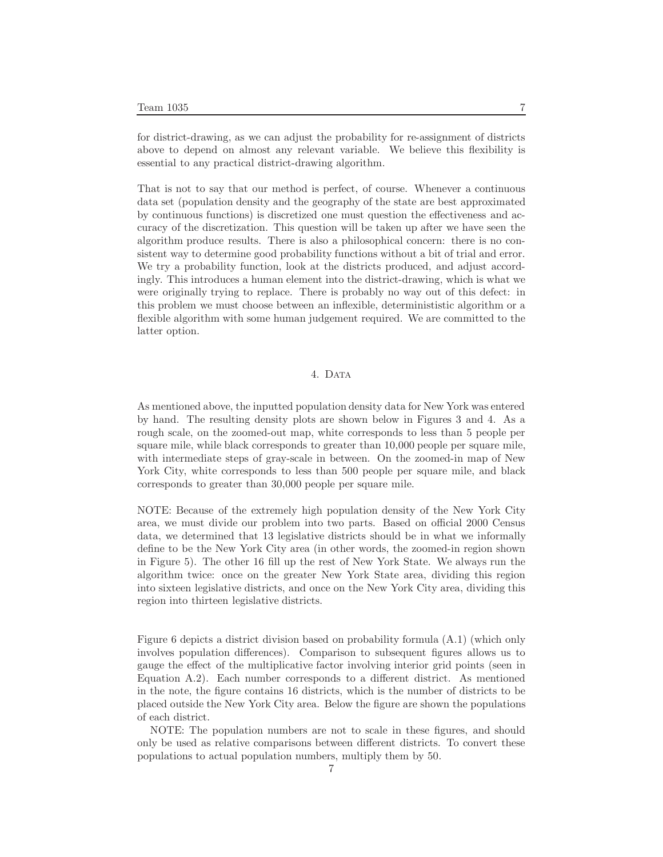for district-drawing, as we can adjust the probability for re-assignment of districts above to depend on almost any relevant variable. We believe this flexibility is essential to any practical district-drawing algorithm.

That is not to say that our method is perfect, of course. Whenever a continuous data set (population density and the geography of the state are best approximated by continuous functions) is discretized one must question the effectiveness and accuracy of the discretization. This question will be taken up after we have seen the algorithm produce results. There is also a philosophical concern: there is no consistent way to determine good probability functions without a bit of trial and error. We try a probability function, look at the districts produced, and adjust accordingly. This introduces a human element into the district-drawing, which is what we were originally trying to replace. There is probably no way out of this defect: in this problem we must choose between an inflexible, determinististic algorithm or a flexible algorithm with some human judgement required. We are committed to the latter option.

# 4. Data

As mentioned above, the inputted population density data for New York was entered by hand. The resulting density plots are shown below in Figures 3 and 4. As a rough scale, on the zoomed-out map, white corresponds to less than 5 people per square mile, while black corresponds to greater than 10,000 people per square mile, with intermediate steps of gray-scale in between. On the zoomed-in map of New York City, white corresponds to less than 500 people per square mile, and black corresponds to greater than 30,000 people per square mile.

NOTE: Because of the extremely high population density of the New York City area, we must divide our problem into two parts. Based on official 2000 Census data, we determined that 13 legislative districts should be in what we informally define to be the New York City area (in other words, the zoomed-in region shown in Figure 5). The other 16 fill up the rest of New York State. We always run the algorithm twice: once on the greater New York State area, dividing this region into sixteen legislative districts, and once on the New York City area, dividing this region into thirteen legislative districts.

Figure 6 depicts a district division based on probability formula (A.1) (which only involves population differences). Comparison to subsequent figures allows us to gauge the effect of the multiplicative factor involving interior grid points (seen in Equation A.2). Each number corresponds to a different district. As mentioned in the note, the figure contains 16 districts, which is the number of districts to be placed outside the New York City area. Below the figure are shown the populations of each district.

NOTE: The population numbers are not to scale in these figures, and should only be used as relative comparisons between different districts. To convert these populations to actual population numbers, multiply them by 50.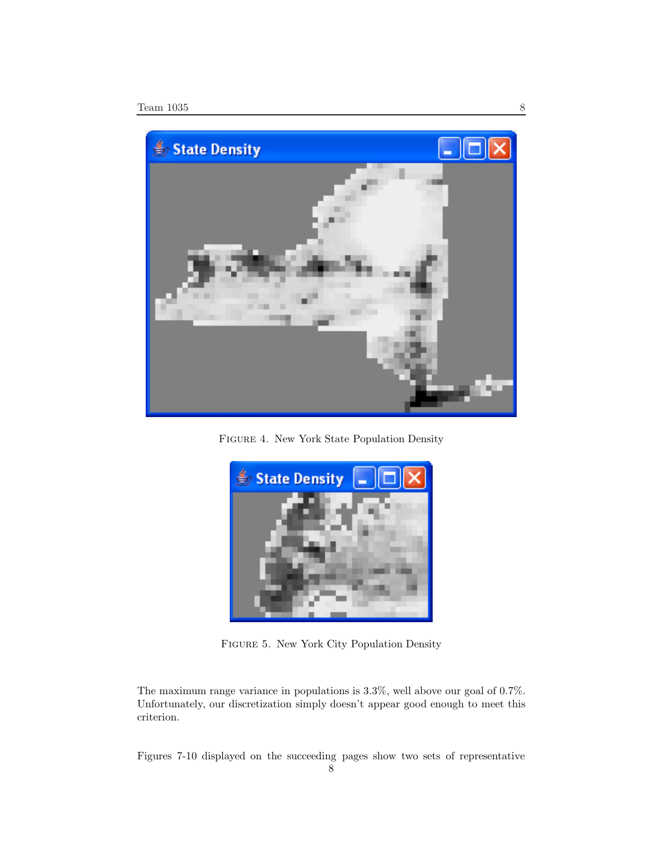

Figure 4. New York State Population Density



Figure 5. New York City Population Density

The maximum range variance in populations is 3.3%, well above our goal of 0.7%. Unfortunately, our discretization simply doesn't appear good enough to meet this criterion.

Figures 7-10 displayed on the succeeding pages show two sets of representative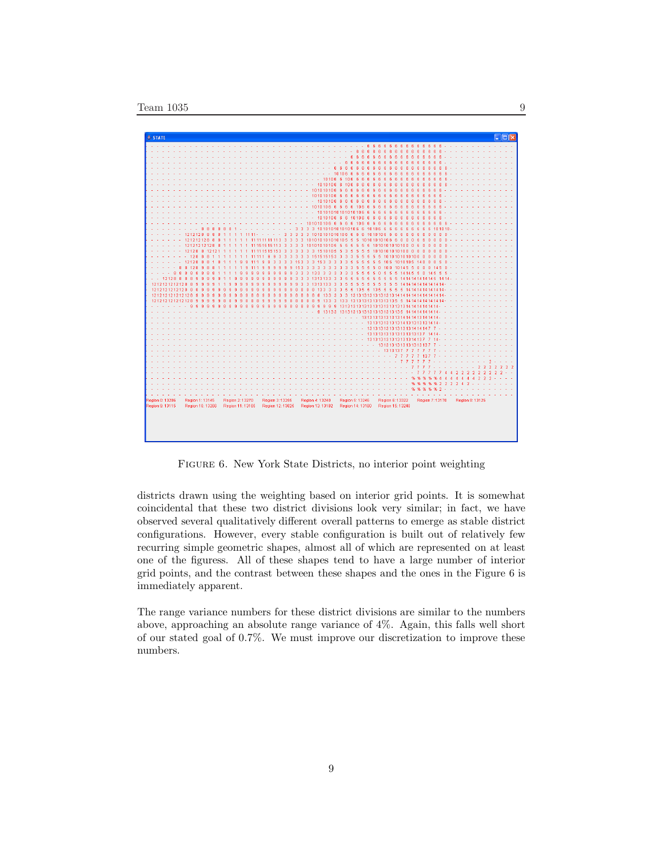| 6<br>-6<br>6<br>6<br>6<br>6<br>-ĥ<br>-6<br>ĥ.<br>-6<br>-6<br>-6<br>6<br>6<br>6<br>6<br>ß.<br>6<br>6<br>R<br>R<br>R<br>ß.<br>6<br>я<br>6<br>ค<br>-6<br>ĥ<br>R<br>я<br>6<br>Ŕ.<br>ß.<br>B.<br>$\mathbf{R}$<br><b>R</b><br>8<br>R<br>10106<br>f6.<br>ĥ.<br>-ĥ<br>ĥ<br>ß<br>10106 6 106<br>6<br>6<br>6<br>В<br>10101066<br>106<br>ß.<br>$\mathbf{g}$<br>R<br>R<br>101010106 6 6<br>6<br>6.<br>-6<br>в<br>ß<br>я<br>101010106 6 6<br>6<br>6<br>6<br>6<br>$\mathbf{R}$<br>R<br>1010106 6<br>-6<br>6<br>6<br>6<br>6<br>ß<br>10101066666106<br>6<br>-R<br>6<br>я<br>я<br>10101010101010106<br>6<br>$\mathbf{R}$<br>ß.<br>R.<br>6<br>1010106 6 6 10106<br>6<br>-6<br>6<br>ĥ<br>101010106666610666<br>6<br>6<br>6<br>6<br>R<br>В<br>3 3 3 3 10 10 10 10 10 10 10 6 6 10 10 6 6<br>6<br>8<br>8<br>a<br>R<br>8<br>я<br>$\mathbf{g}$<br>Я<br>ß<br>ß<br>ß<br>$\overline{3}$<br>3 1010101010106 6 6 6 1010106 6<br>1212128<br>-8<br>8<br>8<br>3 <sup>3</sup><br>3.<br>-6<br>-6<br>6<br>6<br>6<br>6<br>11<br>11111111113 3 3 3 3 101010101010105 5 5 10101010106 6 0<br>12121212888<br>$\overline{0}$<br>$\overline{6}$<br>6<br>$\overline{0}$<br>$\overline{0}$<br>12121212128 8<br>111515151133<br>$\overline{3}$<br>3 10 10 10 10 10 5 5 5<br>5.<br>5 5 5 1010101010100 0<br>3<br>-ĥ<br>$\mathbf{0}$<br>n<br>n<br>12128 8 12121<br>3 3 15 10 10 5 5<br>$\sqrt{5}$<br>5<br>$\sqrt{5}$<br>1010101010100 0<br>1515153<br>-3<br>3<br>-3<br>-3<br>-5<br>$\bf{0}$<br>0<br>11 11<br>3<br>$\mathbf{r}$<br>n<br>3 3 3 15 15 15 15 3<br>$\overline{3}$<br>-5<br>5<br>$\sqrt{5}$<br>5 1010101010100 0<br>128 8 8<br>3<br>3<br>-3<br>3<br>-5<br>$\sqrt{n}$<br>3<br>12128 8<br>$\mathbf{a}$<br>3<br>3<br>3<br>15 3 3 3 15 3 3 3 3<br>$\overline{\mathbf{3}}$<br>5<br>-5<br>5<br>5<br>-5<br>5 105 1010105 140<br>-8<br>$\blacktriangleleft$<br>g<br>9<br>g<br>۹<br>з<br>$\mathbf{0}$<br>$\mathbf{0}$<br>6<br>111<br>0 10 0 10 14 5 5 0<br>8 1 2 8<br>$\overline{9}$<br>3 3 3<br>3 <sub>3</sub><br>3<br>$\overline{\mathbf{3}}$<br>$\sqrt{5}$<br>5<br>5<br>$\mathbf{0}$<br>8<br>8<br>8<br>9<br>-9<br>-9<br>153<br>-3<br>3<br>-5<br>$\mathbf{0}$<br>14.5<br>я<br>я<br>я<br>$\overline{8}$<br>88<br>$\overline{8}$<br>$\bf{8}$<br>$\overline{3}$<br>3<br>133 3 3<br>$\overline{\mathbf{3}}$<br>$\overline{3}$<br>$\overline{3}$<br>5<br>5<br>5<br>5<br>$\theta$<br>-5<br>5<br>5<br>1414550<br>5<br>8<br>8<br>9<br>3<br>3<br>145<br>3 1313133 3<br>$\mathbf{3}$<br>-5<br>12128 8 8 8<br>9<br>9<br>9<br>3<br>$\overline{\mathbf{3}}$<br>-5<br>5<br>-5<br>-5<br>-6<br>-5<br>5<br>-5<br>-6<br>141414<br>ø<br>q<br>14.5<br>1212121212128 8<br>3<br>3.<br>$\overline{3}$<br>5 <sub>5</sub><br>-5<br>-5<br>5 5 5<br>-5<br>9<br>-9<br>1313133<br>-5<br>-5<br>1414<br><b>Q</b><br>я<br>я<br>з<br>я<br>я<br>a<br>335<br>5 135 5 135 5 5<br>1212121212128 8<br>8<br>$\overline{9}$<br>8<br>8<br>$1333$ 3<br>-5<br>a<br>-5<br>1414<br>121212121212128<br>133<br>3 3 3 13 13 13 13 13 13 13 13 14 14 14 14 14<br>9<br>9<br>۰<br>8<br>8<br>8<br>8<br>-8<br>я<br>$\overline{3}$<br>8<br>133<br>133<br>13131313131313135 5<br>121212<br>9<br>8<br>a<br>o<br>я<br>$\mathbf{g}$<br>۰<br><b>q</b><br>14<br>133<br>13 13 13 13 13 13 13 13 13 13 13 5 14 14 14 14<br>13<br>1414<br>13 13 13 13 13 13 13 14 14 14 13 14 14<br>13 13 13 13 13 13 14 13 13 13 13<br>1414<br>13131313131313131414147<br>13 13 13 13 13 13 13 13 13 13 13 7<br>1414<br>13 13 13 13 13 13 13 14 13 7<br>13<br>13131313131313137<br>13.<br>13<br>2 <sub>2</sub><br>٩.<br>%<br>Region 1: 13145<br>Region 2: 13270<br>Region 3:13255<br>Region 4: 13240<br>Region 5: 13246<br>Region 6: 13322<br>Region 7:13170<br>Region 8: 13125<br>Region 10:13266<br>Region 11: 13165<br>Region 12: 13025<br>Region 13:13182<br>Region 14: 13180<br>Region 15: 13240 | <b>A</b> <sub>o</sub> STATE |  | $\Box$ loix |
|-------------------------------------------------------------------------------------------------------------------------------------------------------------------------------------------------------------------------------------------------------------------------------------------------------------------------------------------------------------------------------------------------------------------------------------------------------------------------------------------------------------------------------------------------------------------------------------------------------------------------------------------------------------------------------------------------------------------------------------------------------------------------------------------------------------------------------------------------------------------------------------------------------------------------------------------------------------------------------------------------------------------------------------------------------------------------------------------------------------------------------------------------------------------------------------------------------------------------------------------------------------------------------------------------------------------------------------------------------------------------------------------------------------------------------------------------------------------------------------------------------------------------------------------------------------------------------------------------------------------------------------------------------------------------------------------------------------------------------------------------------------------------------------------------------------------------------------------------------------------------------------------------------------------------------------------------------------------------------------------------------------------------------------------------------------------------------------------------------------------------------------------------------------------------------------------------------------------------------------------------------------------------------------------------------------------------------------------------------------------------------------------------------------------------------------------------------------------------------------------------------------------------------------------------------------------------------------------------------------------------------------------------------------------------------------------------------------------------------------------------------------------------------------------------------------------------------------------------------------------------------------------------------------------------------------------------------------------------------------------------------------------------------------------------------------------------------------------------------------------------------------------------------------------------------------------------------------------------------------------------------------------------------------------------------------------------------------------------------------------------------------------------------------------------------------------------------------------------------------------------------------------------------------------------------------------------------------------------------------------------------------------------------------------------------------------------------------------------------------------------------------------------------|-----------------------------|--|-------------|
|                                                                                                                                                                                                                                                                                                                                                                                                                                                                                                                                                                                                                                                                                                                                                                                                                                                                                                                                                                                                                                                                                                                                                                                                                                                                                                                                                                                                                                                                                                                                                                                                                                                                                                                                                                                                                                                                                                                                                                                                                                                                                                                                                                                                                                                                                                                                                                                                                                                                                                                                                                                                                                                                                                                                                                                                                                                                                                                                                                                                                                                                                                                                                                                                                                                                                                                                                                                                                                                                                                                                                                                                                                                                                                                                                                               |                             |  |             |
|                                                                                                                                                                                                                                                                                                                                                                                                                                                                                                                                                                                                                                                                                                                                                                                                                                                                                                                                                                                                                                                                                                                                                                                                                                                                                                                                                                                                                                                                                                                                                                                                                                                                                                                                                                                                                                                                                                                                                                                                                                                                                                                                                                                                                                                                                                                                                                                                                                                                                                                                                                                                                                                                                                                                                                                                                                                                                                                                                                                                                                                                                                                                                                                                                                                                                                                                                                                                                                                                                                                                                                                                                                                                                                                                                                               |                             |  |             |
|                                                                                                                                                                                                                                                                                                                                                                                                                                                                                                                                                                                                                                                                                                                                                                                                                                                                                                                                                                                                                                                                                                                                                                                                                                                                                                                                                                                                                                                                                                                                                                                                                                                                                                                                                                                                                                                                                                                                                                                                                                                                                                                                                                                                                                                                                                                                                                                                                                                                                                                                                                                                                                                                                                                                                                                                                                                                                                                                                                                                                                                                                                                                                                                                                                                                                                                                                                                                                                                                                                                                                                                                                                                                                                                                                                               |                             |  |             |
|                                                                                                                                                                                                                                                                                                                                                                                                                                                                                                                                                                                                                                                                                                                                                                                                                                                                                                                                                                                                                                                                                                                                                                                                                                                                                                                                                                                                                                                                                                                                                                                                                                                                                                                                                                                                                                                                                                                                                                                                                                                                                                                                                                                                                                                                                                                                                                                                                                                                                                                                                                                                                                                                                                                                                                                                                                                                                                                                                                                                                                                                                                                                                                                                                                                                                                                                                                                                                                                                                                                                                                                                                                                                                                                                                                               |                             |  |             |
|                                                                                                                                                                                                                                                                                                                                                                                                                                                                                                                                                                                                                                                                                                                                                                                                                                                                                                                                                                                                                                                                                                                                                                                                                                                                                                                                                                                                                                                                                                                                                                                                                                                                                                                                                                                                                                                                                                                                                                                                                                                                                                                                                                                                                                                                                                                                                                                                                                                                                                                                                                                                                                                                                                                                                                                                                                                                                                                                                                                                                                                                                                                                                                                                                                                                                                                                                                                                                                                                                                                                                                                                                                                                                                                                                                               |                             |  |             |
|                                                                                                                                                                                                                                                                                                                                                                                                                                                                                                                                                                                                                                                                                                                                                                                                                                                                                                                                                                                                                                                                                                                                                                                                                                                                                                                                                                                                                                                                                                                                                                                                                                                                                                                                                                                                                                                                                                                                                                                                                                                                                                                                                                                                                                                                                                                                                                                                                                                                                                                                                                                                                                                                                                                                                                                                                                                                                                                                                                                                                                                                                                                                                                                                                                                                                                                                                                                                                                                                                                                                                                                                                                                                                                                                                                               |                             |  |             |
|                                                                                                                                                                                                                                                                                                                                                                                                                                                                                                                                                                                                                                                                                                                                                                                                                                                                                                                                                                                                                                                                                                                                                                                                                                                                                                                                                                                                                                                                                                                                                                                                                                                                                                                                                                                                                                                                                                                                                                                                                                                                                                                                                                                                                                                                                                                                                                                                                                                                                                                                                                                                                                                                                                                                                                                                                                                                                                                                                                                                                                                                                                                                                                                                                                                                                                                                                                                                                                                                                                                                                                                                                                                                                                                                                                               |                             |  |             |
|                                                                                                                                                                                                                                                                                                                                                                                                                                                                                                                                                                                                                                                                                                                                                                                                                                                                                                                                                                                                                                                                                                                                                                                                                                                                                                                                                                                                                                                                                                                                                                                                                                                                                                                                                                                                                                                                                                                                                                                                                                                                                                                                                                                                                                                                                                                                                                                                                                                                                                                                                                                                                                                                                                                                                                                                                                                                                                                                                                                                                                                                                                                                                                                                                                                                                                                                                                                                                                                                                                                                                                                                                                                                                                                                                                               |                             |  |             |
|                                                                                                                                                                                                                                                                                                                                                                                                                                                                                                                                                                                                                                                                                                                                                                                                                                                                                                                                                                                                                                                                                                                                                                                                                                                                                                                                                                                                                                                                                                                                                                                                                                                                                                                                                                                                                                                                                                                                                                                                                                                                                                                                                                                                                                                                                                                                                                                                                                                                                                                                                                                                                                                                                                                                                                                                                                                                                                                                                                                                                                                                                                                                                                                                                                                                                                                                                                                                                                                                                                                                                                                                                                                                                                                                                                               |                             |  |             |
|                                                                                                                                                                                                                                                                                                                                                                                                                                                                                                                                                                                                                                                                                                                                                                                                                                                                                                                                                                                                                                                                                                                                                                                                                                                                                                                                                                                                                                                                                                                                                                                                                                                                                                                                                                                                                                                                                                                                                                                                                                                                                                                                                                                                                                                                                                                                                                                                                                                                                                                                                                                                                                                                                                                                                                                                                                                                                                                                                                                                                                                                                                                                                                                                                                                                                                                                                                                                                                                                                                                                                                                                                                                                                                                                                                               |                             |  |             |
|                                                                                                                                                                                                                                                                                                                                                                                                                                                                                                                                                                                                                                                                                                                                                                                                                                                                                                                                                                                                                                                                                                                                                                                                                                                                                                                                                                                                                                                                                                                                                                                                                                                                                                                                                                                                                                                                                                                                                                                                                                                                                                                                                                                                                                                                                                                                                                                                                                                                                                                                                                                                                                                                                                                                                                                                                                                                                                                                                                                                                                                                                                                                                                                                                                                                                                                                                                                                                                                                                                                                                                                                                                                                                                                                                                               |                             |  |             |
|                                                                                                                                                                                                                                                                                                                                                                                                                                                                                                                                                                                                                                                                                                                                                                                                                                                                                                                                                                                                                                                                                                                                                                                                                                                                                                                                                                                                                                                                                                                                                                                                                                                                                                                                                                                                                                                                                                                                                                                                                                                                                                                                                                                                                                                                                                                                                                                                                                                                                                                                                                                                                                                                                                                                                                                                                                                                                                                                                                                                                                                                                                                                                                                                                                                                                                                                                                                                                                                                                                                                                                                                                                                                                                                                                                               |                             |  |             |
|                                                                                                                                                                                                                                                                                                                                                                                                                                                                                                                                                                                                                                                                                                                                                                                                                                                                                                                                                                                                                                                                                                                                                                                                                                                                                                                                                                                                                                                                                                                                                                                                                                                                                                                                                                                                                                                                                                                                                                                                                                                                                                                                                                                                                                                                                                                                                                                                                                                                                                                                                                                                                                                                                                                                                                                                                                                                                                                                                                                                                                                                                                                                                                                                                                                                                                                                                                                                                                                                                                                                                                                                                                                                                                                                                                               |                             |  |             |
|                                                                                                                                                                                                                                                                                                                                                                                                                                                                                                                                                                                                                                                                                                                                                                                                                                                                                                                                                                                                                                                                                                                                                                                                                                                                                                                                                                                                                                                                                                                                                                                                                                                                                                                                                                                                                                                                                                                                                                                                                                                                                                                                                                                                                                                                                                                                                                                                                                                                                                                                                                                                                                                                                                                                                                                                                                                                                                                                                                                                                                                                                                                                                                                                                                                                                                                                                                                                                                                                                                                                                                                                                                                                                                                                                                               |                             |  |             |
|                                                                                                                                                                                                                                                                                                                                                                                                                                                                                                                                                                                                                                                                                                                                                                                                                                                                                                                                                                                                                                                                                                                                                                                                                                                                                                                                                                                                                                                                                                                                                                                                                                                                                                                                                                                                                                                                                                                                                                                                                                                                                                                                                                                                                                                                                                                                                                                                                                                                                                                                                                                                                                                                                                                                                                                                                                                                                                                                                                                                                                                                                                                                                                                                                                                                                                                                                                                                                                                                                                                                                                                                                                                                                                                                                                               |                             |  |             |
|                                                                                                                                                                                                                                                                                                                                                                                                                                                                                                                                                                                                                                                                                                                                                                                                                                                                                                                                                                                                                                                                                                                                                                                                                                                                                                                                                                                                                                                                                                                                                                                                                                                                                                                                                                                                                                                                                                                                                                                                                                                                                                                                                                                                                                                                                                                                                                                                                                                                                                                                                                                                                                                                                                                                                                                                                                                                                                                                                                                                                                                                                                                                                                                                                                                                                                                                                                                                                                                                                                                                                                                                                                                                                                                                                                               |                             |  |             |
|                                                                                                                                                                                                                                                                                                                                                                                                                                                                                                                                                                                                                                                                                                                                                                                                                                                                                                                                                                                                                                                                                                                                                                                                                                                                                                                                                                                                                                                                                                                                                                                                                                                                                                                                                                                                                                                                                                                                                                                                                                                                                                                                                                                                                                                                                                                                                                                                                                                                                                                                                                                                                                                                                                                                                                                                                                                                                                                                                                                                                                                                                                                                                                                                                                                                                                                                                                                                                                                                                                                                                                                                                                                                                                                                                                               |                             |  |             |
|                                                                                                                                                                                                                                                                                                                                                                                                                                                                                                                                                                                                                                                                                                                                                                                                                                                                                                                                                                                                                                                                                                                                                                                                                                                                                                                                                                                                                                                                                                                                                                                                                                                                                                                                                                                                                                                                                                                                                                                                                                                                                                                                                                                                                                                                                                                                                                                                                                                                                                                                                                                                                                                                                                                                                                                                                                                                                                                                                                                                                                                                                                                                                                                                                                                                                                                                                                                                                                                                                                                                                                                                                                                                                                                                                                               |                             |  |             |
|                                                                                                                                                                                                                                                                                                                                                                                                                                                                                                                                                                                                                                                                                                                                                                                                                                                                                                                                                                                                                                                                                                                                                                                                                                                                                                                                                                                                                                                                                                                                                                                                                                                                                                                                                                                                                                                                                                                                                                                                                                                                                                                                                                                                                                                                                                                                                                                                                                                                                                                                                                                                                                                                                                                                                                                                                                                                                                                                                                                                                                                                                                                                                                                                                                                                                                                                                                                                                                                                                                                                                                                                                                                                                                                                                                               |                             |  |             |
|                                                                                                                                                                                                                                                                                                                                                                                                                                                                                                                                                                                                                                                                                                                                                                                                                                                                                                                                                                                                                                                                                                                                                                                                                                                                                                                                                                                                                                                                                                                                                                                                                                                                                                                                                                                                                                                                                                                                                                                                                                                                                                                                                                                                                                                                                                                                                                                                                                                                                                                                                                                                                                                                                                                                                                                                                                                                                                                                                                                                                                                                                                                                                                                                                                                                                                                                                                                                                                                                                                                                                                                                                                                                                                                                                                               |                             |  |             |
|                                                                                                                                                                                                                                                                                                                                                                                                                                                                                                                                                                                                                                                                                                                                                                                                                                                                                                                                                                                                                                                                                                                                                                                                                                                                                                                                                                                                                                                                                                                                                                                                                                                                                                                                                                                                                                                                                                                                                                                                                                                                                                                                                                                                                                                                                                                                                                                                                                                                                                                                                                                                                                                                                                                                                                                                                                                                                                                                                                                                                                                                                                                                                                                                                                                                                                                                                                                                                                                                                                                                                                                                                                                                                                                                                                               |                             |  |             |
|                                                                                                                                                                                                                                                                                                                                                                                                                                                                                                                                                                                                                                                                                                                                                                                                                                                                                                                                                                                                                                                                                                                                                                                                                                                                                                                                                                                                                                                                                                                                                                                                                                                                                                                                                                                                                                                                                                                                                                                                                                                                                                                                                                                                                                                                                                                                                                                                                                                                                                                                                                                                                                                                                                                                                                                                                                                                                                                                                                                                                                                                                                                                                                                                                                                                                                                                                                                                                                                                                                                                                                                                                                                                                                                                                                               |                             |  |             |
|                                                                                                                                                                                                                                                                                                                                                                                                                                                                                                                                                                                                                                                                                                                                                                                                                                                                                                                                                                                                                                                                                                                                                                                                                                                                                                                                                                                                                                                                                                                                                                                                                                                                                                                                                                                                                                                                                                                                                                                                                                                                                                                                                                                                                                                                                                                                                                                                                                                                                                                                                                                                                                                                                                                                                                                                                                                                                                                                                                                                                                                                                                                                                                                                                                                                                                                                                                                                                                                                                                                                                                                                                                                                                                                                                                               |                             |  |             |
|                                                                                                                                                                                                                                                                                                                                                                                                                                                                                                                                                                                                                                                                                                                                                                                                                                                                                                                                                                                                                                                                                                                                                                                                                                                                                                                                                                                                                                                                                                                                                                                                                                                                                                                                                                                                                                                                                                                                                                                                                                                                                                                                                                                                                                                                                                                                                                                                                                                                                                                                                                                                                                                                                                                                                                                                                                                                                                                                                                                                                                                                                                                                                                                                                                                                                                                                                                                                                                                                                                                                                                                                                                                                                                                                                                               |                             |  |             |
|                                                                                                                                                                                                                                                                                                                                                                                                                                                                                                                                                                                                                                                                                                                                                                                                                                                                                                                                                                                                                                                                                                                                                                                                                                                                                                                                                                                                                                                                                                                                                                                                                                                                                                                                                                                                                                                                                                                                                                                                                                                                                                                                                                                                                                                                                                                                                                                                                                                                                                                                                                                                                                                                                                                                                                                                                                                                                                                                                                                                                                                                                                                                                                                                                                                                                                                                                                                                                                                                                                                                                                                                                                                                                                                                                                               |                             |  |             |
|                                                                                                                                                                                                                                                                                                                                                                                                                                                                                                                                                                                                                                                                                                                                                                                                                                                                                                                                                                                                                                                                                                                                                                                                                                                                                                                                                                                                                                                                                                                                                                                                                                                                                                                                                                                                                                                                                                                                                                                                                                                                                                                                                                                                                                                                                                                                                                                                                                                                                                                                                                                                                                                                                                                                                                                                                                                                                                                                                                                                                                                                                                                                                                                                                                                                                                                                                                                                                                                                                                                                                                                                                                                                                                                                                                               |                             |  |             |
|                                                                                                                                                                                                                                                                                                                                                                                                                                                                                                                                                                                                                                                                                                                                                                                                                                                                                                                                                                                                                                                                                                                                                                                                                                                                                                                                                                                                                                                                                                                                                                                                                                                                                                                                                                                                                                                                                                                                                                                                                                                                                                                                                                                                                                                                                                                                                                                                                                                                                                                                                                                                                                                                                                                                                                                                                                                                                                                                                                                                                                                                                                                                                                                                                                                                                                                                                                                                                                                                                                                                                                                                                                                                                                                                                                               |                             |  |             |
|                                                                                                                                                                                                                                                                                                                                                                                                                                                                                                                                                                                                                                                                                                                                                                                                                                                                                                                                                                                                                                                                                                                                                                                                                                                                                                                                                                                                                                                                                                                                                                                                                                                                                                                                                                                                                                                                                                                                                                                                                                                                                                                                                                                                                                                                                                                                                                                                                                                                                                                                                                                                                                                                                                                                                                                                                                                                                                                                                                                                                                                                                                                                                                                                                                                                                                                                                                                                                                                                                                                                                                                                                                                                                                                                                                               |                             |  |             |
|                                                                                                                                                                                                                                                                                                                                                                                                                                                                                                                                                                                                                                                                                                                                                                                                                                                                                                                                                                                                                                                                                                                                                                                                                                                                                                                                                                                                                                                                                                                                                                                                                                                                                                                                                                                                                                                                                                                                                                                                                                                                                                                                                                                                                                                                                                                                                                                                                                                                                                                                                                                                                                                                                                                                                                                                                                                                                                                                                                                                                                                                                                                                                                                                                                                                                                                                                                                                                                                                                                                                                                                                                                                                                                                                                                               |                             |  |             |
|                                                                                                                                                                                                                                                                                                                                                                                                                                                                                                                                                                                                                                                                                                                                                                                                                                                                                                                                                                                                                                                                                                                                                                                                                                                                                                                                                                                                                                                                                                                                                                                                                                                                                                                                                                                                                                                                                                                                                                                                                                                                                                                                                                                                                                                                                                                                                                                                                                                                                                                                                                                                                                                                                                                                                                                                                                                                                                                                                                                                                                                                                                                                                                                                                                                                                                                                                                                                                                                                                                                                                                                                                                                                                                                                                                               |                             |  |             |
|                                                                                                                                                                                                                                                                                                                                                                                                                                                                                                                                                                                                                                                                                                                                                                                                                                                                                                                                                                                                                                                                                                                                                                                                                                                                                                                                                                                                                                                                                                                                                                                                                                                                                                                                                                                                                                                                                                                                                                                                                                                                                                                                                                                                                                                                                                                                                                                                                                                                                                                                                                                                                                                                                                                                                                                                                                                                                                                                                                                                                                                                                                                                                                                                                                                                                                                                                                                                                                                                                                                                                                                                                                                                                                                                                                               |                             |  |             |
|                                                                                                                                                                                                                                                                                                                                                                                                                                                                                                                                                                                                                                                                                                                                                                                                                                                                                                                                                                                                                                                                                                                                                                                                                                                                                                                                                                                                                                                                                                                                                                                                                                                                                                                                                                                                                                                                                                                                                                                                                                                                                                                                                                                                                                                                                                                                                                                                                                                                                                                                                                                                                                                                                                                                                                                                                                                                                                                                                                                                                                                                                                                                                                                                                                                                                                                                                                                                                                                                                                                                                                                                                                                                                                                                                                               |                             |  |             |
|                                                                                                                                                                                                                                                                                                                                                                                                                                                                                                                                                                                                                                                                                                                                                                                                                                                                                                                                                                                                                                                                                                                                                                                                                                                                                                                                                                                                                                                                                                                                                                                                                                                                                                                                                                                                                                                                                                                                                                                                                                                                                                                                                                                                                                                                                                                                                                                                                                                                                                                                                                                                                                                                                                                                                                                                                                                                                                                                                                                                                                                                                                                                                                                                                                                                                                                                                                                                                                                                                                                                                                                                                                                                                                                                                                               |                             |  |             |
|                                                                                                                                                                                                                                                                                                                                                                                                                                                                                                                                                                                                                                                                                                                                                                                                                                                                                                                                                                                                                                                                                                                                                                                                                                                                                                                                                                                                                                                                                                                                                                                                                                                                                                                                                                                                                                                                                                                                                                                                                                                                                                                                                                                                                                                                                                                                                                                                                                                                                                                                                                                                                                                                                                                                                                                                                                                                                                                                                                                                                                                                                                                                                                                                                                                                                                                                                                                                                                                                                                                                                                                                                                                                                                                                                                               |                             |  |             |
|                                                                                                                                                                                                                                                                                                                                                                                                                                                                                                                                                                                                                                                                                                                                                                                                                                                                                                                                                                                                                                                                                                                                                                                                                                                                                                                                                                                                                                                                                                                                                                                                                                                                                                                                                                                                                                                                                                                                                                                                                                                                                                                                                                                                                                                                                                                                                                                                                                                                                                                                                                                                                                                                                                                                                                                                                                                                                                                                                                                                                                                                                                                                                                                                                                                                                                                                                                                                                                                                                                                                                                                                                                                                                                                                                                               |                             |  |             |
|                                                                                                                                                                                                                                                                                                                                                                                                                                                                                                                                                                                                                                                                                                                                                                                                                                                                                                                                                                                                                                                                                                                                                                                                                                                                                                                                                                                                                                                                                                                                                                                                                                                                                                                                                                                                                                                                                                                                                                                                                                                                                                                                                                                                                                                                                                                                                                                                                                                                                                                                                                                                                                                                                                                                                                                                                                                                                                                                                                                                                                                                                                                                                                                                                                                                                                                                                                                                                                                                                                                                                                                                                                                                                                                                                                               |                             |  |             |
|                                                                                                                                                                                                                                                                                                                                                                                                                                                                                                                                                                                                                                                                                                                                                                                                                                                                                                                                                                                                                                                                                                                                                                                                                                                                                                                                                                                                                                                                                                                                                                                                                                                                                                                                                                                                                                                                                                                                                                                                                                                                                                                                                                                                                                                                                                                                                                                                                                                                                                                                                                                                                                                                                                                                                                                                                                                                                                                                                                                                                                                                                                                                                                                                                                                                                                                                                                                                                                                                                                                                                                                                                                                                                                                                                                               |                             |  |             |
|                                                                                                                                                                                                                                                                                                                                                                                                                                                                                                                                                                                                                                                                                                                                                                                                                                                                                                                                                                                                                                                                                                                                                                                                                                                                                                                                                                                                                                                                                                                                                                                                                                                                                                                                                                                                                                                                                                                                                                                                                                                                                                                                                                                                                                                                                                                                                                                                                                                                                                                                                                                                                                                                                                                                                                                                                                                                                                                                                                                                                                                                                                                                                                                                                                                                                                                                                                                                                                                                                                                                                                                                                                                                                                                                                                               |                             |  |             |
|                                                                                                                                                                                                                                                                                                                                                                                                                                                                                                                                                                                                                                                                                                                                                                                                                                                                                                                                                                                                                                                                                                                                                                                                                                                                                                                                                                                                                                                                                                                                                                                                                                                                                                                                                                                                                                                                                                                                                                                                                                                                                                                                                                                                                                                                                                                                                                                                                                                                                                                                                                                                                                                                                                                                                                                                                                                                                                                                                                                                                                                                                                                                                                                                                                                                                                                                                                                                                                                                                                                                                                                                                                                                                                                                                                               |                             |  |             |
|                                                                                                                                                                                                                                                                                                                                                                                                                                                                                                                                                                                                                                                                                                                                                                                                                                                                                                                                                                                                                                                                                                                                                                                                                                                                                                                                                                                                                                                                                                                                                                                                                                                                                                                                                                                                                                                                                                                                                                                                                                                                                                                                                                                                                                                                                                                                                                                                                                                                                                                                                                                                                                                                                                                                                                                                                                                                                                                                                                                                                                                                                                                                                                                                                                                                                                                                                                                                                                                                                                                                                                                                                                                                                                                                                                               |                             |  |             |
|                                                                                                                                                                                                                                                                                                                                                                                                                                                                                                                                                                                                                                                                                                                                                                                                                                                                                                                                                                                                                                                                                                                                                                                                                                                                                                                                                                                                                                                                                                                                                                                                                                                                                                                                                                                                                                                                                                                                                                                                                                                                                                                                                                                                                                                                                                                                                                                                                                                                                                                                                                                                                                                                                                                                                                                                                                                                                                                                                                                                                                                                                                                                                                                                                                                                                                                                                                                                                                                                                                                                                                                                                                                                                                                                                                               |                             |  |             |
|                                                                                                                                                                                                                                                                                                                                                                                                                                                                                                                                                                                                                                                                                                                                                                                                                                                                                                                                                                                                                                                                                                                                                                                                                                                                                                                                                                                                                                                                                                                                                                                                                                                                                                                                                                                                                                                                                                                                                                                                                                                                                                                                                                                                                                                                                                                                                                                                                                                                                                                                                                                                                                                                                                                                                                                                                                                                                                                                                                                                                                                                                                                                                                                                                                                                                                                                                                                                                                                                                                                                                                                                                                                                                                                                                                               |                             |  |             |
|                                                                                                                                                                                                                                                                                                                                                                                                                                                                                                                                                                                                                                                                                                                                                                                                                                                                                                                                                                                                                                                                                                                                                                                                                                                                                                                                                                                                                                                                                                                                                                                                                                                                                                                                                                                                                                                                                                                                                                                                                                                                                                                                                                                                                                                                                                                                                                                                                                                                                                                                                                                                                                                                                                                                                                                                                                                                                                                                                                                                                                                                                                                                                                                                                                                                                                                                                                                                                                                                                                                                                                                                                                                                                                                                                                               |                             |  |             |
|                                                                                                                                                                                                                                                                                                                                                                                                                                                                                                                                                                                                                                                                                                                                                                                                                                                                                                                                                                                                                                                                                                                                                                                                                                                                                                                                                                                                                                                                                                                                                                                                                                                                                                                                                                                                                                                                                                                                                                                                                                                                                                                                                                                                                                                                                                                                                                                                                                                                                                                                                                                                                                                                                                                                                                                                                                                                                                                                                                                                                                                                                                                                                                                                                                                                                                                                                                                                                                                                                                                                                                                                                                                                                                                                                                               |                             |  |             |
|                                                                                                                                                                                                                                                                                                                                                                                                                                                                                                                                                                                                                                                                                                                                                                                                                                                                                                                                                                                                                                                                                                                                                                                                                                                                                                                                                                                                                                                                                                                                                                                                                                                                                                                                                                                                                                                                                                                                                                                                                                                                                                                                                                                                                                                                                                                                                                                                                                                                                                                                                                                                                                                                                                                                                                                                                                                                                                                                                                                                                                                                                                                                                                                                                                                                                                                                                                                                                                                                                                                                                                                                                                                                                                                                                                               | Region 0: 13206             |  |             |
|                                                                                                                                                                                                                                                                                                                                                                                                                                                                                                                                                                                                                                                                                                                                                                                                                                                                                                                                                                                                                                                                                                                                                                                                                                                                                                                                                                                                                                                                                                                                                                                                                                                                                                                                                                                                                                                                                                                                                                                                                                                                                                                                                                                                                                                                                                                                                                                                                                                                                                                                                                                                                                                                                                                                                                                                                                                                                                                                                                                                                                                                                                                                                                                                                                                                                                                                                                                                                                                                                                                                                                                                                                                                                                                                                                               | <b>Region 9: 13115</b>      |  |             |
|                                                                                                                                                                                                                                                                                                                                                                                                                                                                                                                                                                                                                                                                                                                                                                                                                                                                                                                                                                                                                                                                                                                                                                                                                                                                                                                                                                                                                                                                                                                                                                                                                                                                                                                                                                                                                                                                                                                                                                                                                                                                                                                                                                                                                                                                                                                                                                                                                                                                                                                                                                                                                                                                                                                                                                                                                                                                                                                                                                                                                                                                                                                                                                                                                                                                                                                                                                                                                                                                                                                                                                                                                                                                                                                                                                               |                             |  |             |
|                                                                                                                                                                                                                                                                                                                                                                                                                                                                                                                                                                                                                                                                                                                                                                                                                                                                                                                                                                                                                                                                                                                                                                                                                                                                                                                                                                                                                                                                                                                                                                                                                                                                                                                                                                                                                                                                                                                                                                                                                                                                                                                                                                                                                                                                                                                                                                                                                                                                                                                                                                                                                                                                                                                                                                                                                                                                                                                                                                                                                                                                                                                                                                                                                                                                                                                                                                                                                                                                                                                                                                                                                                                                                                                                                                               |                             |  |             |
|                                                                                                                                                                                                                                                                                                                                                                                                                                                                                                                                                                                                                                                                                                                                                                                                                                                                                                                                                                                                                                                                                                                                                                                                                                                                                                                                                                                                                                                                                                                                                                                                                                                                                                                                                                                                                                                                                                                                                                                                                                                                                                                                                                                                                                                                                                                                                                                                                                                                                                                                                                                                                                                                                                                                                                                                                                                                                                                                                                                                                                                                                                                                                                                                                                                                                                                                                                                                                                                                                                                                                                                                                                                                                                                                                                               |                             |  |             |
|                                                                                                                                                                                                                                                                                                                                                                                                                                                                                                                                                                                                                                                                                                                                                                                                                                                                                                                                                                                                                                                                                                                                                                                                                                                                                                                                                                                                                                                                                                                                                                                                                                                                                                                                                                                                                                                                                                                                                                                                                                                                                                                                                                                                                                                                                                                                                                                                                                                                                                                                                                                                                                                                                                                                                                                                                                                                                                                                                                                                                                                                                                                                                                                                                                                                                                                                                                                                                                                                                                                                                                                                                                                                                                                                                                               |                             |  |             |
|                                                                                                                                                                                                                                                                                                                                                                                                                                                                                                                                                                                                                                                                                                                                                                                                                                                                                                                                                                                                                                                                                                                                                                                                                                                                                                                                                                                                                                                                                                                                                                                                                                                                                                                                                                                                                                                                                                                                                                                                                                                                                                                                                                                                                                                                                                                                                                                                                                                                                                                                                                                                                                                                                                                                                                                                                                                                                                                                                                                                                                                                                                                                                                                                                                                                                                                                                                                                                                                                                                                                                                                                                                                                                                                                                                               |                             |  |             |

Figure 6. New York State Districts, no interior point weighting

districts drawn using the weighting based on interior grid points. It is somewhat coincidental that these two district divisions look very similar; in fact, we have observed several qualitatively different overall patterns to emerge as stable district configurations. However, every stable configuration is built out of relatively few recurring simple geometric shapes, almost all of which are represented on at least one of the figuress. All of these shapes tend to have a large number of interior grid points, and the contrast between these shapes and the ones in the Figure 6 is immediately apparent.

The range variance numbers for these district divisions are similar to the numbers above, approaching an absolute range variance of 4%. Again, this falls well short of our stated goal of 0.7%. We must improve our discretization to improve these numbers.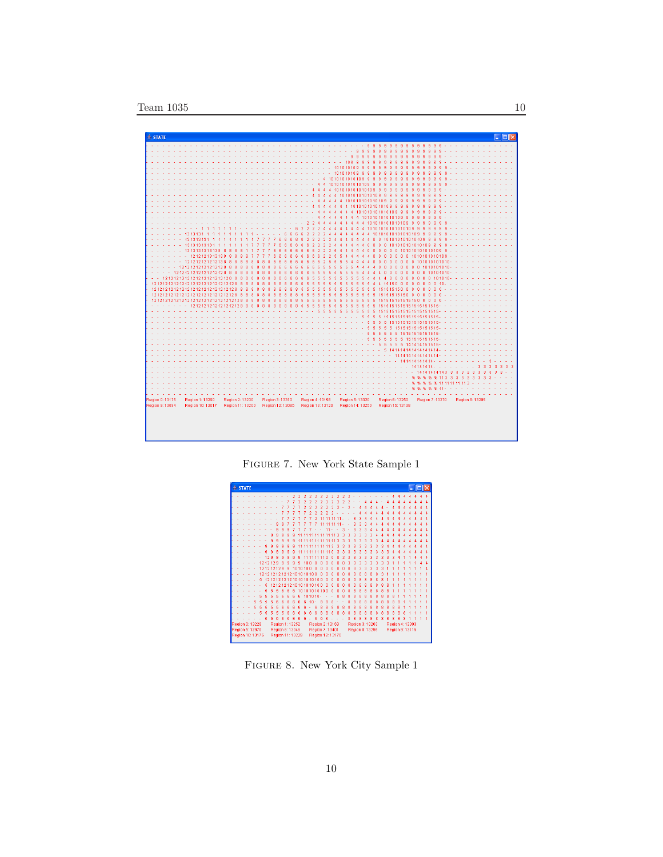

Figure 7. New York State Sample 1



Figure 8. New York City Sample 1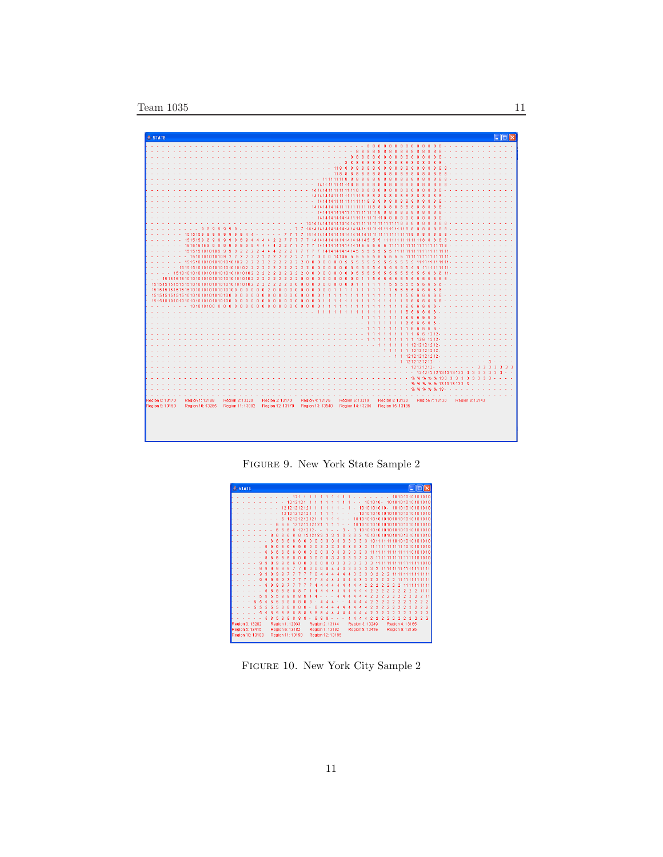

Figure 9. New York State Sample 2

|                                                          |  |  | $20$ STATE |                 |  |   |  |   |    |   |                 |    |   |             |       |   |   |                |   |   |   |   |                 |   |                |                |                |                |   |                |                                |    |                | <u>     □  </u> × |
|----------------------------------------------------------|--|--|------------|-----------------|--|---|--|---|----|---|-----------------|----|---|-------------|-------|---|---|----------------|---|---|---|---|-----------------|---|----------------|----------------|----------------|----------------|---|----------------|--------------------------------|----|----------------|-------------------|
|                                                          |  |  |            |                 |  |   |  |   |    |   | 121             |    |   |             |       |   |   |                |   |   |   |   |                 |   |                |                |                |                |   |                | 10101010101010                 |    |                |                   |
|                                                          |  |  |            |                 |  |   |  |   |    |   | 1212121         |    |   |             |       |   |   |                |   |   |   |   |                 |   |                |                |                |                |   |                | 101010-1010101010101010        |    |                |                   |
|                                                          |  |  |            |                 |  |   |  |   |    |   | 12121212121     |    |   |             |       |   |   |                |   |   |   |   |                 |   |                |                |                |                |   |                | 1010101010-10101010101010      |    |                |                   |
|                                                          |  |  |            |                 |  |   |  |   |    |   | 12121212121     |    |   |             |       |   |   |                |   |   |   |   |                 |   |                |                |                |                |   |                | 1010101010101010101010101010   |    |                |                   |
|                                                          |  |  |            |                 |  |   |  |   | คิ |   | 12121212121     |    |   |             |       |   |   |                |   |   |   |   |                 |   |                |                |                |                |   |                | 101010101010101010101010101010 |    |                |                   |
|                                                          |  |  |            |                 |  |   |  |   | я  | គ |                 |    |   | 12121212121 |       |   |   |                |   |   | ٠ |   |                 |   |                |                |                |                |   |                | 101010101010101010101010101010 |    |                |                   |
|                                                          |  |  |            |                 |  |   |  |   |    |   | 6               | 12 |   | $1212 -$    |       |   |   |                |   | я |   | з |                 |   |                |                |                |                |   |                | 1010101010101010101010101010   |    |                |                   |
|                                                          |  |  |            |                 |  |   |  |   |    |   |                 |    |   |             | 12123 |   |   |                |   |   | ٩ | R | з               |   |                |                |                |                |   |                | 10101010101010101010101010     |    |                |                   |
|                                                          |  |  |            |                 |  |   |  |   |    |   |                 |    | ĥ | n           |       | ٩ | ٩ | ٩              | a | ٩ | a | Ŕ | ٩               | 3 |                |                |                |                |   |                | 1011111110101010101010         |    |                |                   |
|                                                          |  |  |            |                 |  |   |  |   |    |   |                 |    |   |             |       |   |   |                | з | з | з | з | з               | з |                |                |                |                |   |                | 11 11 11 11 11 10 10 10 10 10  |    |                |                   |
|                                                          |  |  |            |                 |  |   |  |   |    |   |                 |    |   |             |       |   |   |                |   |   |   | ٩ | ٩               | ٩ |                |                |                |                |   |                | 11 11 11 11 11 11 10 10 10 10  |    |                |                   |
|                                                          |  |  |            |                 |  |   |  |   |    |   |                 |    |   |             |       |   |   |                | ٩ | ٩ | ٩ | ٩ | ٩               | ٩ | ٩              |                |                |                |   |                | 11 11 11 11 11 11 11 10 10 10  |    |                |                   |
|                                                          |  |  |            |                 |  |   |  |   |    |   |                 |    |   |             |       |   |   |                |   | з | з | з | з               | з | з              |                |                |                |   |                | 11 11 11 11 11 11 10 10        |    |                |                   |
|                                                          |  |  |            |                 |  |   |  |   |    |   |                 |    |   |             |       |   |   |                |   |   |   |   |                 |   |                |                |                |                |   |                | 11 11 11 11 11 11 11           |    |                |                   |
|                                                          |  |  |            |                 |  |   |  | ۹ |    |   |                 |    |   |             |       |   |   |                |   |   |   | я | ٩               | ٩ | ٩              |                |                |                |   |                |                                |    | 11 11 11 11 11 |                   |
|                                                          |  |  |            |                 |  | я |  |   |    |   |                 |    |   |             |       |   |   |                |   |   |   |   | з               | з |                |                | 2              |                |   |                |                                | 11 |                | 11 11             |
|                                                          |  |  |            |                 |  |   |  |   |    |   |                 |    |   |             |       |   |   |                |   |   |   |   |                 |   |                |                |                |                |   |                |                                |    | 11 11 11 11    |                   |
|                                                          |  |  |            |                 |  |   |  |   |    |   |                 |    |   |             |       |   |   |                |   |   |   |   |                 |   |                |                |                |                |   |                |                                |    |                | 11                |
|                                                          |  |  |            |                 |  |   |  |   |    |   |                 |    |   |             |       |   |   |                |   |   |   |   |                 |   |                |                |                |                |   |                |                                |    |                |                   |
|                                                          |  |  |            |                 |  |   |  |   |    |   |                 |    |   |             |       |   |   |                |   |   |   |   |                 |   |                |                | 7              | 2              |   |                |                                |    |                | 11                |
|                                                          |  |  |            |                 |  |   |  |   |    |   |                 |    |   |             |       |   |   |                |   |   |   |   |                 |   |                |                |                |                |   |                |                                |    |                | $\overline{2}$    |
|                                                          |  |  |            |                 |  |   |  |   |    |   | 8               |    |   |             | g     |   |   |                |   |   |   |   |                 |   |                |                |                |                |   |                |                                |    |                | 9                 |
|                                                          |  |  |            |                 |  |   |  |   |    |   |                 |    |   | 8           |       |   |   |                |   |   |   |   |                 |   |                |                | n,             | n              |   |                |                                |    |                | ž,                |
|                                                          |  |  |            |                 |  |   |  |   |    |   | я               | я  | 8 |             |       |   |   |                |   |   |   |   |                 |   | $\overline{2}$ | $\overline{2}$ | $\overline{2}$ | $\overline{2}$ | ö | $\overline{2}$ | $\overline{2}$                 | ö  |                | $\mathcal{I}$     |
|                                                          |  |  |            | Region 0: 13202 |  |   |  |   |    |   | Region 1: 12933 |    |   |             |       |   |   | Region 2:13144 |   |   |   |   | Region 3: 13249 |   |                |                |                |                |   |                | Region 4: 13165                |    |                |                   |
|                                                          |  |  |            | Region 5: 13415 |  |   |  |   |    |   | Region 6: 13182 |    |   |             |       |   |   | Region 7:13192 |   |   |   |   | Region 8: 13416 |   |                |                |                |                |   |                | Region 9: 13126                |    |                |                   |
| Region 10: 13188<br>Region 11: 13150<br>Region 12: 13195 |  |  |            |                 |  |   |  |   |    |   |                 |    |   |             |       |   |   |                |   |   |   |   |                 |   |                |                |                |                |   |                |                                |    |                |                   |

Figure 10. New York City Sample 2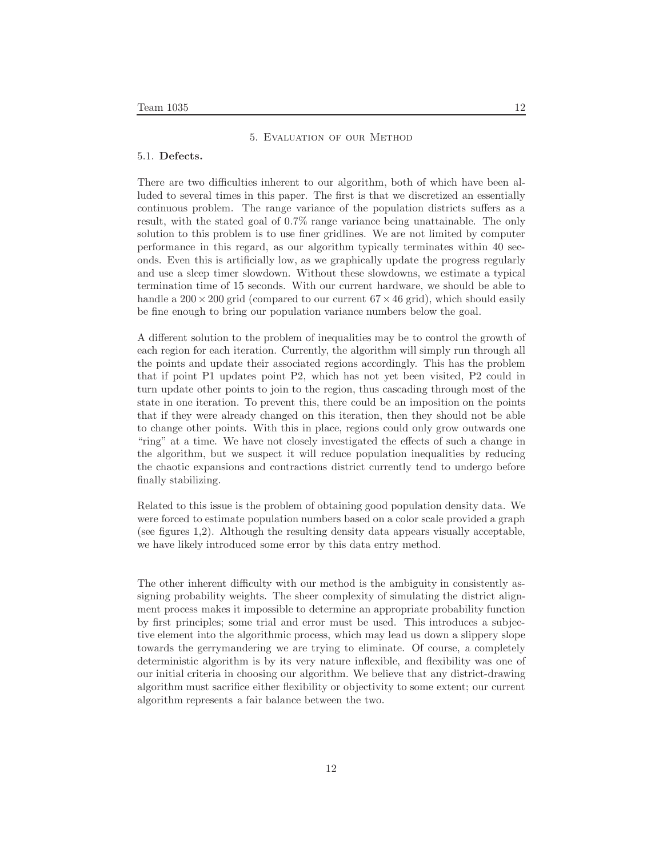# 5. Evaluation of our Method

#### 5.1. **Defects.**

There are two difficulties inherent to our algorithm, both of which have been alluded to several times in this paper. The first is that we discretized an essentially continuous problem. The range variance of the population districts suffers as a result, with the stated goal of 0.7% range variance being unattainable. The only solution to this problem is to use finer gridlines. We are not limited by computer performance in this regard, as our algorithm typically terminates within 40 seconds. Even this is artificially low, as we graphically update the progress regularly and use a sleep timer slowdown. Without these slowdowns, we estimate a typical termination time of 15 seconds. With our current hardware, we should be able to handle a  $200 \times 200$  grid (compared to our current  $67 \times 46$  grid), which should easily be fine enough to bring our population variance numbers below the goal.

A different solution to the problem of inequalities may be to control the growth of each region for each iteration. Currently, the algorithm will simply run through all the points and update their associated regions accordingly. This has the problem that if point P1 updates point P2, which has not yet been visited, P2 could in turn update other points to join to the region, thus cascading through most of the state in one iteration. To prevent this, there could be an imposition on the points that if they were already changed on this iteration, then they should not be able to change other points. With this in place, regions could only grow outwards one "ring" at a time. We have not closely investigated the effects of such a change in the algorithm, but we suspect it will reduce population inequalities by reducing the chaotic expansions and contractions district currently tend to undergo before finally stabilizing.

Related to this issue is the problem of obtaining good population density data. We were forced to estimate population numbers based on a color scale provided a graph (see figures 1,2). Although the resulting density data appears visually acceptable, we have likely introduced some error by this data entry method.

The other inherent difficulty with our method is the ambiguity in consistently assigning probability weights. The sheer complexity of simulating the district alignment process makes it impossible to determine an appropriate probability function by first principles; some trial and error must be used. This introduces a subjective element into the algorithmic process, which may lead us down a slippery slope towards the gerrymandering we are trying to eliminate. Of course, a completely deterministic algorithm is by its very nature inflexible, and flexibility was one of our initial criteria in choosing our algorithm. We believe that any district-drawing algorithm must sacrifice either flexibility or objectivity to some extent; our current algorithm represents a fair balance between the two.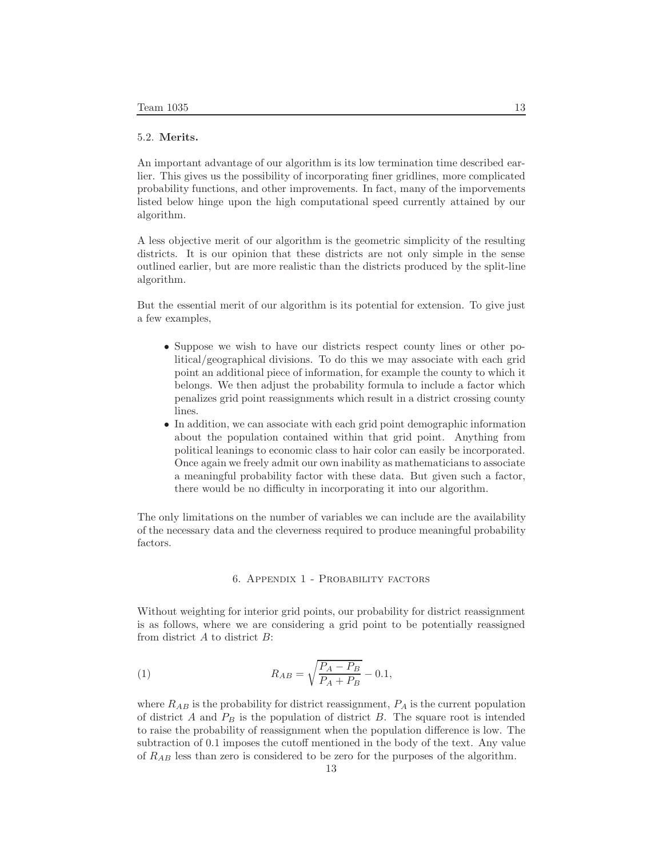# 5.2. **Merits.**

An important advantage of our algorithm is its low termination time described earlier. This gives us the possibility of incorporating finer gridlines, more complicated probability functions, and other improvements. In fact, many of the imporvements listed below hinge upon the high computational speed currently attained by our algorithm.

A less objective merit of our algorithm is the geometric simplicity of the resulting districts. It is our opinion that these districts are not only simple in the sense outlined earlier, but are more realistic than the districts produced by the split-line algorithm.

But the essential merit of our algorithm is its potential for extension. To give just a few examples,

- Suppose we wish to have our districts respect county lines or other political/geographical divisions. To do this we may associate with each grid point an additional piece of information, for example the county to which it belongs. We then adjust the probability formula to include a factor which penalizes grid point reassignments which result in a district crossing county lines.
- In addition, we can associate with each grid point demographic information about the population contained within that grid point. Anything from political leanings to economic class to hair color can easily be incorporated. Once again we freely admit our own inability as mathematicians to associate a meaningful probability factor with these data. But given such a factor, there would be no difficulty in incorporating it into our algorithm.

The only limitations on the number of variables we can include are the availability of the necessary data and the cleverness required to produce meaningful probability factors.

#### 6. Appendix 1 - Probability factors

Without weighting for interior grid points, our probability for district reassignment is as follows, where we are considering a grid point to be potentially reassigned from district *A* to district *B*:

(1) 
$$
R_{AB} = \sqrt{\frac{P_A - P_B}{P_A + P_B}} - 0.1,
$$

where  $R_{AB}$  is the probability for district reassignment,  $P_A$  is the current population of district *A* and *P<sup>B</sup>* is the population of district *B*. The square root is intended to raise the probability of reassignment when the population difference is low. The subtraction of 0.1 imposes the cutoff mentioned in the body of the text. Any value of *RAB* less than zero is considered to be zero for the purposes of the algorithm.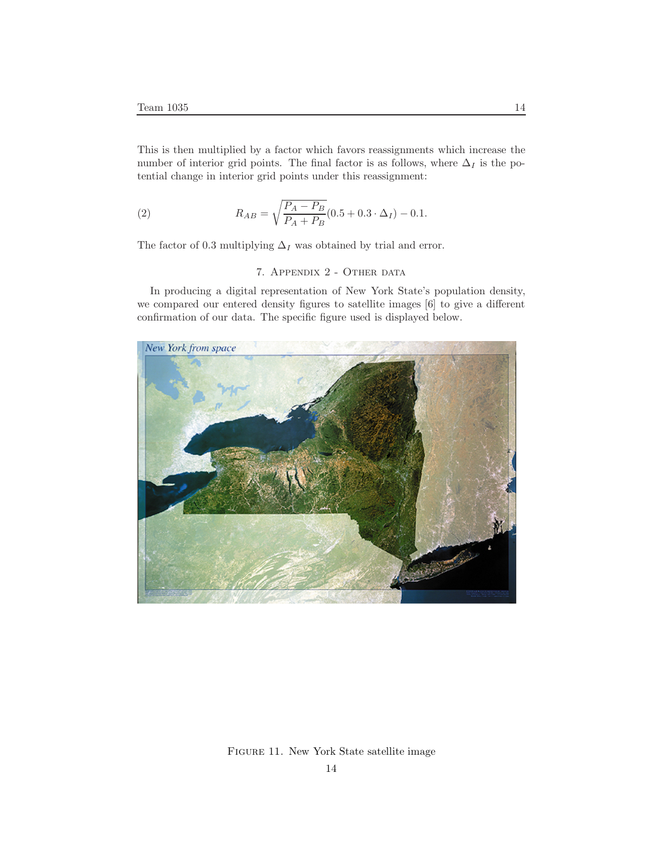This is then multiplied by a factor which favors reassignments which increase the number of interior grid points. The final factor is as follows, where  $\Delta_I$  is the potential change in interior grid points under this reassignment:

(2) 
$$
R_{AB} = \sqrt{\frac{P_A - P_B}{P_A + P_B}} (0.5 + 0.3 \cdot \Delta_I) - 0.1.
$$

The factor of 0.3 multiplying  $\Delta_I$  was obtained by trial and error.

# 7. Appendix 2 - Other data

In producing a digital representation of New York State's population density, we compared our entered density figures to satellite images [6] to give a different confirmation of our data. The specific figure used is displayed below.



Figure 11. New York State satellite image